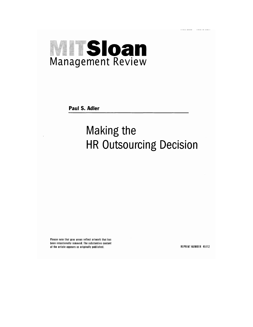# **MITSIoan**<br>Management Review

**Paul S. Adler** 

### **Making the HR Outsourcing Decision**

Please note that gray areas reflect artwork that has been intentionally removed. The substantive content of the article appears as originally published.

REPRINT NUMBER 45112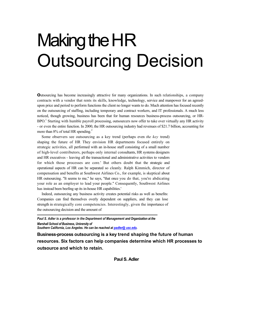## Making the HR Outsourcing Decision

**O**utsourcing has become increasingly attractive for many organizations. In such relationships, a company contracts with a vendor that rents its skills, knowledge, technology, service and manpower for an agreedupon price and period to perform functions the client no longer wants to do. Much attention has focused recently on the outsourcing of staffing, including temporary and contract workers, and IT professionals. A much less noticed, though growing, business has been that for human resources business-process outsourcing, or HR- $BPO<sup>1</sup>$  Starting with humble payroll processing, outsourcers now offer to take over virtually any HR activity - or even the entire function. In 2000, the HR outsourcing industry had revenues of \$21.7 billion, accounting for more than  $8\%$  of total HR spending.<sup>2</sup>

Some observers see outsourcing as a key trend (perhaps even *the key* trend) shaping the future of HR They envision HR departments focused entirely on strategic activities, all performed with an in-house staff consisting of a small number of high-level contributors, perhaps only internal consultants, HR systems designers and HR executives - leaving all the transactional and administrative activities to vendors for which those processes are core.' But others doubt that the strategic and operational aspects of HR can be separated so cleanly. Ralph Kimmich, director of compensation and benefits at Southwest Airlines Co., for example, is skeptical about HR outsourcing. "It seems to me," he says, "that once you do that, you're abdicating your role as an employer to lead your people." Consequently, Southwest Airlines has instead been beefing up its in-house HR capabilities.'

Indeed, outsourcing any business activity creates potential risks as well as benefits: Companies can find themselves overly dependent on suppliers, and they can lose strength in strategically core competencies. Interestingly, given the importance of the outsourcing decision and the amount of

*Paul S. Adler is a professor in the Department of Management and Organization at the Marshall School of Business, University of Southern California, Los Angeles. He can be reached at [padler@ usc.edu.](mailto:padler@usc.edu)* 

**Business-process outsourcing is a key trend shaping the future of human resources. Six factors can help companies determine which HR processes to outsource and which to retain.**

**Paul S. Adler**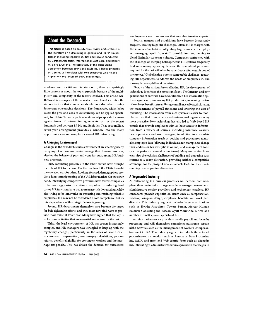#### **About the Research**

This article is based on an extensive review and synthesis of the literature on outsourcing in general and HR-BPO in particular, including separate studies and surveys conducted by Gartner/Dataquest, International Data Corp. and Robert W. Baird & Co. Inc. The case study of the outsourcing agreement between BP Plc and Exult Inc. is based primarily on a series of interviews with two executives who helped implement the landmark \$600 million deal.

academic and practitioner literature on it, there is surprisingly little consensus about the topic, probably because of the multiplicity and complexity of the factors involved. This article synthesizes the strongest of the available research and identifies the six key factors that companies should consider when making important outsourcing decisions. The framework, which helps assess the pros and cons of outsourcing, can be applied specifically to HR functions. In particular, it can help explicate the managerial issues of outsourcing agreements such as the recent landmark deal between BP Plc and Exult Inc. That \$600 million, seven-year arrangement provides a window into the many opportunities - and complexities - of HR outsourcing.

#### **A Changing Environment**

Changes in the broader business environment are affecting nearly every aspect of how companies manage their human resources, altering the balance of pros and cons for outsourcing HR business processes.

First, conflicting pressures in the labor market have brought the role of HR to the fore. On the one hand, the 1990s brought the so-called war for talent. Looking forward, demographers predict a long-term tightening of the U.S. labor market. On the other hand, intensifying competitive pressures have forced companies to be more aggressive in cutting costs, often by reducing head count. HR functions have had to manage such downsizings, while also trying to be innovative in attracting and retaining valuable employees. HR may not be considered a core competence, but its interdependence with strategic factors is growing.

Second, HR departments themselves have become the target for belt-tightening efforts, and they must now find ways to provide more value at lower cost. Many have argued that the key is to focus on activities that are essential and outsource the rest.

Third, the legal environment of HR has grown increasingly complex, and HR managers have struggled to keep up with the regulatory changes, particularly in the areas of health care, stock-related compensation, overtime-pay calculations, pension reform, benefits eligibility for contingent workers and the marriage tax penalty. This has driven the demand for outsourced

54 MIT SLOAN MANAGEMENT REVIEW FALL 2003

employee services from vendors that are subject-matter experts.

Fourth, mergers and acquisitions have become increasingly frequent, creating huge HR challenges. Often, HR is charged with the simultaneous tasks of integrating large numbers of employees, managing layoffs from staff consolidations and helping to blend dissimilar corporate cultures. Companies confronted with the challenge of merging heterogeneous HR systems frequently find outsourcing appealing because the specialized personnel required for the task will often be superfluous after completion of the project.<sup>5</sup> Globalization poses a comparable challenge, requiring HR departments to address the needs of employees in, and moving between, different countries.

Finally, of the various forces affecting HR, the development of technology is perhaps the most significant. The Internet and new generations of software have revolutionized HR information systems, significantly improving HR productivity, increasing control of employee benefits, streamlining compliance efforts, facilitating the management of payroll functions and lowering the cost of recruiting. The information from such systems is easier to modularize than that from paper-based systems, making outsourcing more attractive. New technology has also led to Web-based HR portals that provide employees with 24-hour access to information from a variety of sources, including insurance carriers, health providers and asset managers, in addition to up-to-date company information (such as policies and procedures manuals), employee data (allowing individuals, for example, to change their address or tax exemptions online) and management tools (such as performance-evaluation forms). Many companies, however, view the technical challenges of building and operating such systems as a costly distraction, providing neither a competitive advantage nor the prospect of a sustainable lead. For them, outsourcing is an appealing alternative.

#### A Segmented Industry

As outsourcing HR business processes has become commonplace, three main industry segments have emerged: consultants, administrative-service providers and technology enablers. HR consultants provide expertise on issues such as compensation, stock-option-plan design, employee benefits and workplace diversity. This industry segment includes large organizations such as Hewitt Associates, Towers Perrin, Mercer Human Resource Consulting and Watson Wyatt Worldwide, as well as a number of smaller, more specialized firms.

Administrative-service providers handle payroll and benefits processing and will themselves sometimes outsource certain niche activities such as the management of workers' compensation and COBRA. This industry segment includes both back-end processing-centric vendors such as Automatic Data Processing Inc. (ADP) and front-end Web-centric firms such as eBenefits Inc. Interestingly, administrative-services providers that began in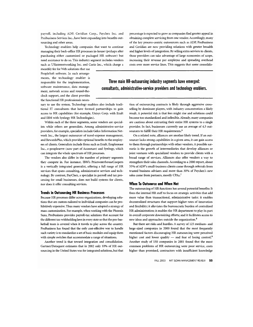payroll, including ADP, Ceridian Corp., Paychex Inc. and ProBusiness Services Inc., have been expanding into benefits outsourcing and other areas.

Technology enablers help companies that want to continue managing their back-office HR processes in-house (perhaps after purchasing either customized or packaged HR software) but need assistance to do so. This industry segment includes vendors such as USinternetworking Inc. and Corio Inc., which charge a

monthly fee for Web solutions that use PeopleSoft software. In such arrangements, the technology enabler is responsible for the implementation, software maintenance, data management, network access and round-theclock support, and the client provides the functional HR professionals neces-

sary to use the system. Technology enablers also include traditional IT consultants that have formed partnerships to gain access to HR capabilities (for example, Unisys Corp. with Exult and IBM with Synhrgy HR Technologies).

Within each of the three segments, some vendors are specialists while others are generalists. Among administrative-service providers, for example, specialists include Gelco Information Network Inc., the largest outsourcer of travel-expense management, and RewardsPlus, which provides optional benefits to the employees of clients. Generalists include firms such as Exult, Employease Inc., e-peopleserve (now part of Accenture) and Synhrgy, which can integrate the whole spectrum of HR processes.

The vendors also differ in the number of primary segments they compete in. For instance, IBM's PricewaterhouseCoopers is a vertically integrated generalist, offering a full range of HR services that spans consulting, administrative services and technology. By contrast, PayChex, a specialist in payroll and tax processing for small businesses, does not build systems for clients, nor does it offer consulting services.

#### **Trends in Outsourcing HR Business Processes**

Because HR processes differ across organizations, developing solutions that are custom-tailored to individual companies can be prohibitively expensive. Thus many vendors have adopted a strategy of mass customization. For example, when working with the Phoenix Suns, ProBusiness provides payroll-tax solutions that account for the different tax-withholding laws in every state so that the pro-basketball team is covered when it travels to play across the country. ProBusiness has found that the only cost-effective way to handle such variety is to standardize a set of basic modules and equip them with simple switches that accommodate a range of situations.

Another trend is that toward integration and consolidation. Gartner/Dataquest estimates that in 2002 only 10% of HR outsourcing in the United States was for integrated solutions, but that percentage is expected to grow as companies find greater appeal in obtaining complete servicing from one vendor. Accordingly, many of the key process-centric outsourcers such as ADP, ProBusiness and Ceridian are now providing solutions with greater breadth and higher levels of integration. By selling extra services to clients, those providers can take advantage of large economies of scope, increasing their revenue per employee and spreading overhead costs over more service lines. This suggests that some consolida-

#### Three main HR-outsourcing industry segments have emerged: consultants, administrative-service providers and technology enablers.

tion of outsourcing contracts is likely through aggressive crossselling by dominant players, with industry concentration a likely result. A potential risk is that fees might rise and solutions could become too standardized and inflexible. Already, many companies are cautious about entrusting their entire HR systems to a single provider. In fact, businesses currently use an average of 4.5 outsourcers to fulfill their HR requirements.<sup>6</sup>

On a related note, alliances are another likely trend. If an outsourcer lacks strong capabilities in a given area, it can gain access to them through partnerships with other vendors. A possible scenario is the growth of intermediaries that develop alliances or joint ventures with specialized vendors to provide clients with a broad range of services. Alliances also offer vendors a way to strengthen their sales channels. According to a 2000 report, about 55% of ADP's small-business clients come through referrals from trusted business advisers and more than 30% of Paychex's new sales come from partners, mostly CPAs.7

#### **When To Outsource and When Not**

The outsourcing of HR functions has several potential benefits: It frees the internal HR staff to focus on strategic activities that add more value than transactional, administrative tasks; it enables decentralized structures that support higher rates of innovation and flexibility; it alleviates the bureaucratic burden of centralized HR administration; it enables the HR department to play its part in overall corporate downsizing efforts; and it facilitates access to new ideas and approaches outside the organization.<sup>8</sup>

But there are risks and hurdles. A survey of 125 medium- and large-sized companies in 2000 found that the most frequently mentioned factors discouraging HR outsourcing were perceived higher cost and lower quality — and fear of losing control.<sup>9</sup> Another study of 150 companies in 2001 found that the most common problems of HR outsourcing were poor service, costs higher than promised, contractors with insufficient knowledge

FALL 2003 MIT SLOAN MANAGEMENT REVIEW 55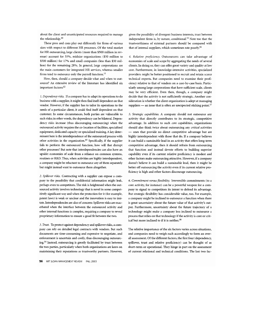about the client and unanticipated resources required to manage the relationship.<sup>10</sup>

These pros and cons play out differently for firms of various sizes with respect to different HR processes. Of the total market for HR outsourcing, large clients (more than \$500 million in revenue) account for 55%, midsize organizations (\$50 million to \$500 million) for 17% and small companies (less than \$50 million) for the remaining 28%. In general, large corporations are the main customers for integrated HR services, whereas smaller firms tend to outsource only the payroll function.<sup>11</sup>

How, then, should a company decide what and when to outsource? An extensive review of the literature has identified six important factors:<sup>12</sup>

1. Dependency risks. If a company has to adapt its operations to do business with a supplier, it might then find itself dependent on that vendor. However, if the supplier has to tailor its operations to the needs of a particular client, it could find itself dependent on that customer. In some circumstances, both parties are vulnerable to such risks; in other words, the dependency can be bilateral. Dependency risks increase (thus discouraging outsourcing) when the outsourced activity requires the co-location of facilities, specialized equipment, dedicated capacity or specialized training. A key determinant here is the interdependence of the outsourced process with other activities in the organization.<sup>13</sup> Specifically, if the supplier fails to perform the outsourced function, how will that disrupt other processes? But note that interdependencies can also have an upside: economies of scale from a reliance on common systems, routines or R&D. Thus, when activities are highly interdependent, a company might be reluctant to outsource any of them separately but might instead want to outsource them altogether.

2. Spillover risks. Contracting with a supplier can expose a company to the possibility that confidential information might leak, perhaps even to competitors. The risk is heightened when the outsourced activity involves technology that is novel in some competitively significant way and when the protection for it (for example, patent laws) is weak or unclear and the innovation is easy to imitate. Interdependencies are also of concern: Spillover risks are exacerbated when the interface between the outsourced activity and other internal functions is complex, requiring a company to reveal proprietary information to ensure a good fit between the two.

3. Trust. To protect against dependency and spillover risks, a company can rely on detailed legal contracts with vendors. But such documents are time-consuming and expensive to negotiate, and enforcement is uncertain and costly, thus discouraging outsourcing.<sup>14</sup> Instead, outsourcing is greatly facilitated by trust between the two parties, particularly when both organizations are keen on maintaining their reputations as trustworthy partners. However,

56 MIT SLOAN MANAGEMENT REVIEW FALL 2003

given the possibility of divergent business interests, trust between independent firms is, by nature, conditional.<sup>15</sup> Note too that the trustworthiness of external partners should be compared with that of internal suppliers, which sometimes rate poorly.<sup>16</sup>

4. Relative proficiency. Outsourcers can take advantage of economies of scale and scope by aggregating the needs of several clients. In doing so, they can offer great variety and quality at low cost. Furthermore, in knowledge-intensive activities, specialized providers might be better positioned to recruit and retain scarce technical experts. But companies need to examine their proficiency relative to that of vendors on a case-by-case basis. Particularly among large corporations that have sufficient scale, clients may be very efficient. Even then, though, a company might decide that the activity is not sufficiently strategic. Another consideration is whether the client organization is adept at managing suppliers  $-$  an issue that is often an unexpected sticking point.<sup>17</sup>

5. Strategic capabilities. A company should not outsource any activity that directly contributes to its strategic, competitive advantage. In addition to such core capabilities, organizations should also think twice about outsourcing any critical activities - ones that provide no direct competitive advantage but are highly interdependent with those that do. If a company believes it can build a sustainable lead in an activity that offers long-term competitive advantage, then it should refrain from outsourcing that function and instead devote efforts to building superior capability even if its current relative proficiency is modest and other factors make outsourcing attractive. However, if a company doesn't believe it can build a sustainable lead, then it might be better off outsourcing the activity even if its current relative proficiency is high and other factors discourage outsourcing.

6. Commitment versus flexibility. Irreversible commitments (to a core activity, for instance) can be a powerful weapon for a company to signal to competitors its intent to defend its advantage. But strategic flexibility has considerable value, too. For example, a company might be inclined to outsource a function when there is great uncertainty about the future value of that activity's output. Furthermore, uncertainty about the future trajectory of a technology might make a company less inclined to outsource a process that relies on that technology if the activity is core or critical but more inclined to if it is neither.<sup>18</sup>

The relative importance of the six factors varies across situations, and companies need to weigh each accordingly to form an overall assessment. Of the different factors, the first four (dependency, spillover, trust and relative proficiency) can be thought of as short-term or operational. They hinge in part on the assessment of current relational and technical conditions. The last two fac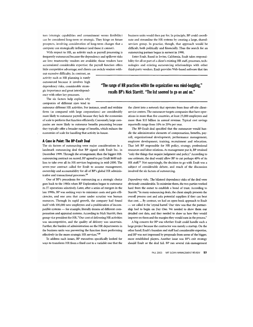tors (strategic capabilities and commitment versus flexibility) can be considered long-term or strategic. They hinge on future prospects, involving consideration of long-term changes that a company can strategically influence (and those it cannot).

With respect to HR, an activity such as payroll processing is frequently outsourced because the dependency and spillover risks are low: trustworthy vendors are available: those vendors have accumulated considerable expertise; the payroll function offers little competitive advantage; and clients can switch vendors with-

out excessive difficulty. In contrast, an activity such as HR planning is rarely outsourced because it involves high dependency risks, considerable strategic importance and great interdependency with other key processes.

The six factors help explain why companies of different sizes tend to

outsource different HR activities. For instance, small and midsize firms (as compared with large corporations) are considerably more likely to outsource payroll, because they lack the economies of scale to perform that function efficiently. Conversely, large companies are more likely to outsource benefits processing because they typically offer a broader range of benefits, which reduces the economies of scale for handling that activity in-house.

#### A Case in Point: The BP-Exult Deal

The six factors of outsourcing were major considerations in a landmark outsourcing deal that BP signed with Exult Inc. in December 1999. Through the arrangement, then the biggest HRoutsourcing contract on record, BP agreed to pay Exult \$600 million to take over all its HR services beginning in mid-2000. The seven-year contract called for Exult to assume management, ownership and accountability for all of BP's global HR administrative and transactional processes.<sup>19</sup>

One of BP's precedents for outsourcing as a strategic choice goes back to the 1980s when BP Exploration began to outsource its IT operations selectively. Later, after a series of mergers in the late 1990s, BP was seeking ways to minimize costs and gain efficiencies, and one area that came under scrutiny was human resources. Through its rapid growth, the company had found itself with 100,000 new employees and a proliferation of incompatible systems - for example, literally dozens of different compensation and appraisal systems. According to Nick Starritt, then group vice president for HR, "Our cost of delivering HR activities was uncompetitive, and the quality of delivery was uncertain. Further, the burden of administration on the HR departments in the business units was preventing the function from performing effectively in the more strategic HR services."20

To address such issues, BP executives specifically looked for ways to transform HR from a fixed cost to a variable one that the business units would then pay for. In principle, BP could coordinate and streamline the HR systems by creating a large, sharedservices group. In practice, though, that approach would be difficult, both politically and financially. Thus the search for an outsourcing partner began in earnest in 1998.

Enter Exult. Based in Irvine, California, Exult takes responsibility for all or part of a client's existing HR staff, processes, technologies and existing outsourcing relationships with other third-party vendors. Exult provides Web-based software that ties

#### "The range of HR practices within the organization was mind-boggling." recalls BP's Nick Starritt. "The list seemed to go on and on."

the client into a network that operates from four off-site clientservice centers. The outsourcer targets companies that have operations in more than five countries, at least 25,000 employees and more than \$10 billion in annual revenue. Typical cost savings reportedly range from 10% to 20% per year.

The BP-Exult deal specified that the outsourcer would handle the administrative elements of compensation, benefits, payroll, organizational development, performance management, employee development, training, recruitment and relocation. That left BP responsible for HR policy, strategy, professional resources and labor relations. As management put it, BP retained "only the things that require judgment and policy." According to one estimate, the deal would allow BP to cut perhaps 40% of its HR staff.<sup>21</sup> Not surprisingly, the decision to go with Exult was a subject of considerable debate, and much of the discussion involved the six factors of outsourcing.

Dependency risks. The bilateral dependency risks of the deal were obviously considerable. To minimize them, the two parties worked hard from the outset to establish a bond of trust. According to Starritt, "In many outsourcing deals, the client simply presents the overall process cost and asks potential suppliers if they can beat that cost. ... By contrast, we had an open-book approach to Exult we called it the 'crystal barrel.' Our view was that the partnership had to begin on Day One. We needed to show them our detailed cost data, and they needed to show us how they would improve on them and the margins they would earn in the process."

A big concern for BP was whether Exult could handle such a large project because the contractor was merely a startup. On the other hand, Exult's founders and staff had considerable expertise, and BP was not impressed by proposals from some of the bigger, more established players. Another issue was BP's exit strategy should Exult or the deal fail. BP ran several risk-management

FALL 2003 MIT SLOAN MANAGEMENT REVIEW 57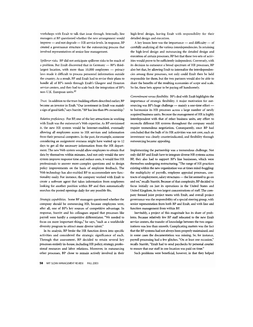workshops with Exult to talk that issue through. Internally, line managers at BP questioned whether the new arrangement would improve - and not degrade - HR service levels. In response, BP created a governance structure for the outsourcing process that involved representatives of senior line management.

Spillover risks. BP did not anticipate spillover risks to be much of a problem. But Exult discovered that in Germany - BP's thirdlargest location, with more than 10,000 employees - privacy laws made it difficult to process personnel information outside the country. As a result, BP and Exult had to revise their plans to handle all of BP's needs through Exult's Glasgow and Houston service centers, and they had to scale back the integration of BP's non-U.K. European units.<sup>22</sup>

Trust. In addition to the trust-building efforts described earlier, BP became an investor in Exult. "Our investment in Exult was mainly a sign of good faith," says Starritt. "BP has less than 8% ownership."

Relative proficiency. For BP, one of the key attractions in working with Exult was the outsourcer's Web expertise. As BP envisioned it, the new HR system would be Internet-enabled, eventually allowing all employees access to HR services and information from their personal computers. In the past, for example, someone considering an assignment overseas might have waited up to 12 days to get all the necessary information from the HR department. The new Web system would allow employees to obtain that data by themselves within minutes. And not only would the new system improve response time and reduce costs, it would free HR professionals to answer more-complex questions and to design policy improvements on the basis of employee feedback. The Web technology has also enabled BP to accommodate new functionality easily. For instance, the company worked with Exult to create a software agent that takes information from employees looking for another position within BP and then automatically searches the posted openings daily for any possible fits.

Strategic capabilities. Some BP managers questioned whether the company should be outsourcing HR, because employees were, after all, one of BP's key sources of competitive advantage. In response, Starritt and his colleagues argued that processes like payroll were hardly a competitive differentiator. "We needed to focus on more important things," he says, "such as a worldwide diversity program to attract more diverse talent."

In its analysis, BP broke the HR function down into specific activities and considered the strategic significance of each. Through that assessment, BP decided to retain several key processes entirely in-house, including HR policy, strategy, professional resources and labor relations. Moreover, in outsourcing other processes, BP chose to remain actively involved in their high-level design, leaving Exult with responsibility for their detailed design and execution.

A key lesson here was the importance - and difficulty - of carefully analyzing all the various interdependencies. In retaining the high-level design and outsourcing the detailed design and execution of certain processes, BP bet that these two sets of activities would prove to be sufficiently independent. Conversely, with its decision to outsource a broad spectrum of HR processes, BP also bet that, by allowing Exult to internalize the interdependencies among those processes, not only could Exult then be held responsible for them, but the two partners would also be able to share the benefits of the resulting economies of scope and scale. So far, these bets appear to be paying off handsomely.

Commitment versus flexibility. BP's deal with Exult highlights the importance of strategic flexibility. A major motivation for outsourcing was BP's huge challenge -- mainly a one-time effort to harmonize its HR processes across a large number of newly acquired business units. Because the management of HR is highly interdependent with that of other business units, any effort to reconcile different HR systems throughout the company would require tremendous negotiation. Consequently, once BP had concluded that the bulk of its HR activities was not core, such an investment was clearly counterindicated, and flexibility through outsourcing became appealing.

Implementing the partnership was a tremendous challenge. Not only did BP and Exult have to integrate diverse HR systems across BP, they also had to support BP's line businesses, which were themselves undergoing restructuring. "The range of HR practices existing within the new organization was at times mind-boggling: the multiplicity of payrolls, employee appraisal processes, contracts of employment, salary structures - the list seemed to go on and on," recalls Starritt. Because of that complexity, BP decided to focus initially on just its operations in the United States and United Kingdom, its two largest concentrations of staff. The company formed joint project teams with Exult, and overall project governance was the responsibility of a special steering group, with senior representation from both BP and Exult, and with line and function management from within BP.

Inevitably, a project of this magnitude has its share of problems. Because relatively few BP staff relocated to the new Exult service centers, the transfer of knowledge between the two organizations was less than smooth. Complicating matters was the fact that the BP systems had not always been properly maintained, and in some cases the documentation was missing. So, for instance, payroll processing had a few glitches. "On at least one occasion," recalls Starritt, "Exult had to send paychecks by personal courier to ensure that our staff in one location was paid on time."

Such problems were beneficial, however, in that they helped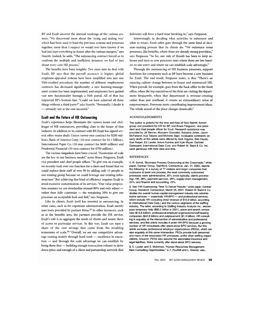BP and Exult uncover the internal workings of the various systems. "We discovered more about the 'string and sealing wax' which had been used to bind the previous systems and processes together, more than I suspect we would ever have known if we had just kept everything in-house after the various mergers," says Starritt. Indeed, he adds, "The outsourcing contract forced us to confront the multiple and inefficient instances we had of just about every core HR process."

The benefits have been tangible. Two years into its deal with Exult, BP says that the payroll accuracy is higher; global employee-appraisal systems have been simplified into just one Web-enabled procedure; the number of different employment contracts has decreased significantly; a new learning-management system has been implemented; and employees have gained vast new functionality through a Web portal. All of that has improved BP's bottom line. "Could we have achieved all these things without a third party?" asks Starritt. "Personally, I doubt it - certainly not at the cost incurred."

#### **Exult and the Future of HR Outsourcing**

Exult's experience helps illuminate the various issues and challenges of HR outsourcers, providing clues to the future of that industry. In addition to its contract with BP, Exult has signed several other major deals: Unisys (seven-year contract for \$200 million), Bank of America Corp. (10-year contract for \$1.1 billion), International Paper Co. (10-year contract for \$600 million) and Prudential Financial (10-year contract for \$700 million).

The various megadeals have been crucial. "Economies of scale are the key to our business model," notes Bruce Ferguson, Exult vice president and chief people officer. "To give you an example, we recently took over one function for a client and found that we could replace their staff of over 90 by adding only 15 people to our existing group because we could leverage our existing infrastructure." But achieving that kind of efficiency requires Exult to avoid excessive customization of its services. "Our value proposition assumes we can standardize around 80% and only adjust rather than fully customize - the remaining 20% to give our processes an acceptable look and feel," says Ferguson.

Like its clients, Exult itself has resorted to outsourcing. In some cases, such as for expatriate administration, Exult merely uses tools provided by partner firms.<sup>23</sup> In other instances, such as in the benefits area, the partners provide the HR service. Exult's role is to aggregate the needs of clients and assure them of access to particular services. In this way, Exult can earn a share of the cost savings that come from the resulting economies of scale.<sup>24</sup> "Overall, we see our competitive advantage coming mainly through hard work - excellence in execution - and through the scale advantage we can establish by being there first - building enough transaction volume to drive down price and enough of a client and partnership network that followers will have a hard time breaking in," says Ferguson.

Interestingly, in deciding what activities to outsource and what to retain, Exult often goes through the same kind of decision-making process that its clients do. "We outsource some processes, like benefits, where there are already strong providers," says Ferguson. "So far, our rule of thumb has been to keep inhouse and treat as core processes ones where there are low barriers to our entry and where we can establish scale advantages."

Through the outsourcing of HR business processes, support functions for companies such as BP have become a core business for Exult. The end result, Ferguson notes, is this: "There's an amazing culture change between in-house and outsourced HR. When payroll, for example, goes from the back office to the front office, when the top executives of the firm are visiting the department frequently, when that department is revenue-creating rather than just overhead, it creates an extraordinary sense of empowerment. Everyone starts contributing improvement ideas. The whole mood of the place changes drastically."

#### **ACKNOWLEDGMENTS**

The author is grateful for the time and help of Nick Starritt, former group vice president for HR for BP, and Bruce Ferguson, vice president and chief people officer for Exult. Research assistance was provided by Jill Benner, Maryann Gonzalez, Natasha Jones, Jason McFarland, Koji Takano and Michelle Sippl. Invaluable comments on early drafts of this article were offered by Nick Argyres, Bob Hayes, Sue Helper, Ed Lawler, Arturs Kalnins and Kyle Mayer. Gartner/ Dataquest, International Data Corp. and Robert W. Baird & Co. Inc. were generous with their data and time.

#### **REFERENCES**

1. R. Scholl, "Business Process Outsourcing at the Crossroads," white paper, Gartner Group, Stamford, Connecticut, Jan. 31, 2002, reports the following: In a survey of 77 midsize and larger companies that outsource at least one process, the most commonly outsourced processes were administrative, 30% (most typically, claims processing); HR, 28%; payment services, 26%; supply-chain management, 25%; and finance and accounting, 23%.

2. See "HR Outsourcing: Time To Deliver Results," white paper, Gartner Group, Stamford, Connecticut, March 26, 2001, Robert W. Baird & Co. divides the overall human-capital-management industry into administrative services - essentially HR-BPO - and professional services. which include HR consulting (total revenue of \$10.9 billion, according to International Data Corp.) and the various segments of the staffing industry. The latter, according to Staffing Industry Analysts Inc., encompass temporary help (\$80.2 billion in 2001), place-and-search companies (\$13.8 billion), professional-employer-organizations/staff-leasing companies (\$42.8 billion) and outplacement (\$1.3 billion). HR consulting is arguably at the intersection of administrative and professional services, and this article includes it under HR-BPO because a growing number of HR consultants offer stand-alone BPO services. But this article excludes professional employer organizations (PEOs), which are also arguably at this same intersection. PEOs provide both personnel and many of the associated HR processes: unlike other staffing organizations, however, PEOs also assume the associated insurance and legal liabilities. None currently offer stand-alone BPO services.

3. E. Lawler and S. Mohrman, "Human Resources Management: New Consulting Opportunities," in F. Poulfelt and L. Greiner, eds.,

FALL 2003 MIT SLOAN MANAGEMENT REVIEW 59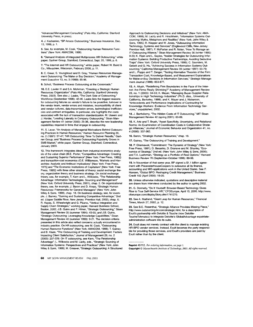"Advanced Management Consulting" (Palo Alto, California: Stanford University Press, in press).

4. J. Kochaniec, "BP Amoco Outsourcing," Business Insurance, Dec. 13, 1999. p. 1.

5. See, for example, M. Cook, "Outsourcing Human Resource Functions" (New York: AMACOM, 1998)

6. "Demand Analysis of Integrated Multiprocess HR Outsourcing," white paper, Gartner Group, Stamford, Connecticut, Sept. 20, 1999, p. 6.

7. "The Internet and HR Outsourcing," white paper, Robert W. Baird & Co., Milwaukee, Wisconsin, February 2000, p. 11.

8. C. Greer, S. Youngblood and D. Gray, "Human Resources Management Outsourcing: The Make or Buy Decision," Academy of Management Executive 13, no. 3 (1999): 85-96.

9. Scholl, "Business Process Outsourcing at the Crossroads."

10. E.E. Lawler III and S.A. Mohrman, "Creating a Strategic Human Resources Organization" (Palo Alto, California: Stanford University Press, 2003). See also J. Laabs, "The Dark Side of Outsourcing," Workforce (September 1998): 42-46. Laabs lists the biggest reasons for outsourcing failures as vendor's failure to be proactive, turnover in the vendor team, vendor errors and mistakes, incompatibility of client and vendor cultures, data-transmission errors, technological inefficiencies and contract ambiguities. In particular, she highlights the costs associated with the lack of transaction standardization. M. Useem and J. Harder, "Leading Laterally in Company Outsourcing," Sloan Management Review 41 (winter 2000): 25-36, describe the new leadership capabilities required in firms that engage in outsourcing.

11. S. Lever, "An Analysis of Managerial Motivations Behind Outsourcing Practices in Human Resources," Human Resource Planning 20, no. 2 (1997): 37-47; "HR Outsourcing: Time To Deliver Results," Gartner Group; and "Business Process Outsourcing Popularity Grows in SMB Market," white paper, Gartner Group, Stamford, Connecticut, January 2003.

12. This framework integrates ideas from industrial-economics analysis of the value chain (M.E. Porter, "Competitive Advantage: Creating and Sustaining Superior Performance" [New York: Free Press, 1985]) and transaction-cost economics (O.E. Williamson, "Markets and Hierarchies: Analysis and Antitrust Implications" [New York: Free Press, 1975] and "The Economic Institutions of Capitalism" [New York: Free Press, 1985]) with three other strands of theory; social exchange theory, organization theory and business strategy. On social exchange theory, see, for example, T. Kern and L. Willcocks, "The Relationship Advantage: Information Technologies, Sourcing and Management" (New York: Oxford University Press, 2001), chap. 2. On organizational theory, see, for example, J. Baron and D. Kreps, "Strategic Human Resources: Frameworks for General Managers" (New York: John Wiley & Sons, 1999), chap. 18. On business strategy, see, for example, J. Barney, "Gaining and Sustaining Competitive Advantage," 2nd ed. (Upper Saddle River, New Jersey: Prentice Hall, 2002), chap. 6; R. Hayes, S. Wheelwright and G. Pisano, "Vertical Integration and Supply Chain Strategies," working paper, Harvard Business School, Boston, 2002; J.B. Quinn and F. Hilmer, "Strategic Outsourcing," Sloan Management Review 35 (summer 1994): 43-55; and J.B. Quinn, "Strategic Outsourcing: Leveraging Knowledge Capabilities," Sloan Management Review 40 (summer 1999): 9-21. The decision criteria presented in this article also reflect concerns actually encountered in industry practice. On HR outsourcing, see M. Cook, "Outsourcing Human Resource Functions" (New York: AMACOM, 1998); T. Gainey and B. Klaas, "The Outsourcing of Training and Development: Factors Impacting Client Satisfaction," Journal of Management 29, no. 2 (2003): 207-229. On IT outsourcing, see Kem, "The Relationship Advantage"; L. Willcocks and M. Lacity, eds., "Strategic Sourcing of Information Systems: Perspectives and Practices" (New York: John Wiley & Sons, 1999); M. Greaver, "Strategic Outsourcing: A Structured Approach to Outsourcing Decisions and Initiatives" (New York: AMA-COM, 1999); M. Lacity and R. Hirschheim, "Information Systems Outsourcing: Myths, Metaphors and Realities" (New York: John Wiley & Sons, 1995); R. Klepper and W. Jones, "Outsourcing Information Technology, Systems and Services" (Englewood Cliffs, New Jersey: Prentice Hall, 1997): F. McFarlan and R. Nolan, "How To Manage an IT Outsourcing Alliance," Sloan Management Review 36 (winter 1995). 9-23; K. Ripin and L. Sayles, "Insider Strategies for Outsourcing Information Systems: Building Productive Partnerships, Avoiding Seductive Traps" (New York: Oxford University Press, 1999); C. Saunders, M. Gebelt and Q. Hu, "Achieving Success in Information Systems Outsourcing," California Management Review 39 (winter 1997): 63-79; and L. Poppo and T. Zenger, "Testing Alternative Theories of the Firm: Transaction Cost, Knowledge-Based, and Measurement Explanations for Make-or-Buy Decisions in Information Services." Strategic Management Journal (1998): 853-877.

13. A. Afuah, "Redefining Firm Boundaries in the Face of the Internet: Are Firms Really Shrinking?" Academy of Management Review 28, no. 1 (2003): 34-53; K. Mayer, "Managing Buyer-Supplier Relationships in High Technology Industries" (Ph.D. diss., University of California, Berkeley, 1999); and K. Mayer and J. Nickerson, "Antecedents and Performance Implications of Contracting for Knowledge Workers: Evidence From Information Technology Services," unpublished, 2002.

14. J. Barthélemy, "The Hidden Costs of IT Outsourcing," MIT Sloan Management Review 42 (spring 2001): 60-69.

15. K. Artz and T. Brush, "Asset Specificity, Uncertainty, and Relational Norms: An Examination of Coordination Costs in Collaborative Strategic Alliances," Journal of Economic Behavior and Organization 41, no. 4 (2000): 337-362.

16. Baron, "Strategic Human Resources," chap. 18.

17. Gainey, "The Outsourcing of Training and Development."

18. P. Ghemawat, "Commitment: The Dynamic of Strategy" (New York: Free Press, 1991); D. Besanko, D. Dranove and M. Shanley, "Economics of Strategy," 2nd ed. (New York: John Wiley & Sons, 2000); and T.A. Luehrman, "Strategy as a Portfolio of Real Options," Harvard Business Review 76 (September-October 1998): 89-98.

19. In November of that same year, BP signed a \$1.1 billion agreement with PricewaterhouseCoopers to outsource all its finance, accounting and MIS-applications work in the United States. See F. Hansen, "Global BPO: Reshaping Credit Management," Business Credit 102 (April 2000): 18-20.

20. Unless otherwise indicated, quotations and descriptive material are drawn from interviews conducted by the author in spring 2002.

21. G. Donnelly, "Do It Yourself: Browser-Based Technology Gives Rise to True Self-Service HR," CFOEurope, April 15, 2000, http://www. cfoeurope.com/displayStory.cfm/1741270.

22. See A. Maitland, "Giant Leap for Human Resources," Financial Times, March 27, 2002, p. 12.

23. See B.E. Rosenthal, "Strategic Alliance Provides Missing Piece," http://www.outsourcing-hr.com/strategic.html, for a description of Exult's partnership with Deloitte & Touche (now Deloitte-ToucheTohmatsu) to integrate Deloitte's GlobalAdvantage expatriateadministration software into its suite

24. Exult does not merely contract with the client to manage existing HR-BPO vendor services. Instead, Exult becomes the party responsible for providing those services, and Exult's providers are paid by Exult rather than by the client.

60 MIT SLOAN MANAGEMENT REVIEW FALL 2003

Reprint 45112. For ordering information, see page 1. Copyright © Massachusetts Institute of Technology, 2003. All rights reserved.